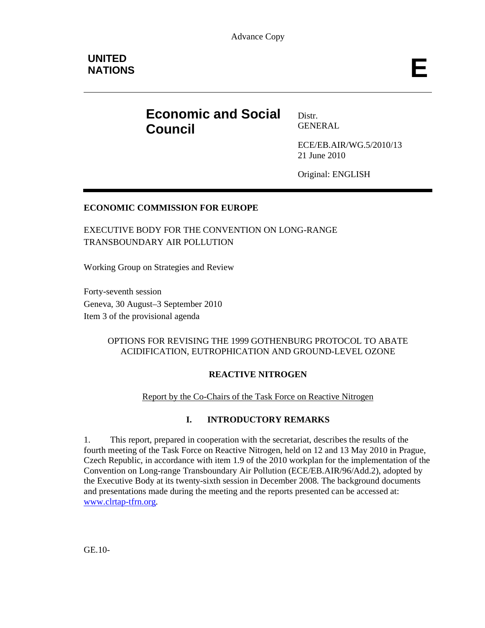# **Economic and Social Council**

Distr. GENERAL

ECE/EB.AIR/WG.5/2010/13 21 June 2010

Original: ENGLISH

# **ECONOMIC COMMISSION FOR EUROPE**

EXECUTIVE BODY FOR THE CONVENTION ON LONG-RANGE TRANSBOUNDARY AIR POLLUTION

Working Group on Strategies and Review

Forty-seventh session Geneva, 30 August–3 September 2010 Item 3 of the provisional agenda

#### OPTIONS FOR REVISING THE 1999 GOTHENBURG PROTOCOL TO ABATE ACIDIFICATION, EUTROPHICATION AND GROUND-LEVEL OZONE

#### **REACTIVE NITROGEN**

#### Report by the Co-Chairs of the Task Force on Reactive Nitrogen

#### **I. INTRODUCTORY REMARKS**

1. This report, prepared in cooperation with the secretariat, describes the results of the fourth meeting of the Task Force on Reactive Nitrogen, held on 12 and 13 May 2010 in Prague, Czech Republic, in accordance with item 1.9 of the 2010 workplan for the implementation of the Convention on Long-range Transboundary Air Pollution (ECE/EB.AIR/96/Add.2), adopted by the Executive Body at its twenty-sixth session in December 2008. The background documents and presentations made during the meeting and the reports presented can be accessed at: www.clrtap-tfrn.org.

GE.10-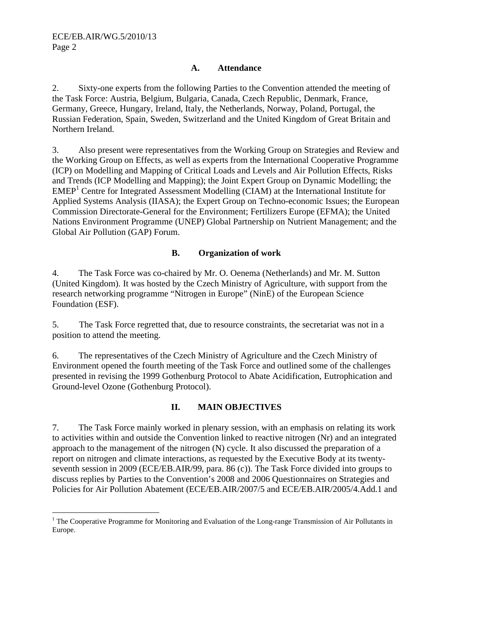$\overline{a}$ 

#### **A. Attendance**

2. Sixty-one experts from the following Parties to the Convention attended the meeting of the Task Force: Austria, Belgium, Bulgaria, Canada, Czech Republic, Denmark, France, Germany, Greece, Hungary, Ireland, Italy, the Netherlands, Norway, Poland, Portugal, the Russian Federation, Spain, Sweden, Switzerland and the United Kingdom of Great Britain and Northern Ireland.

3. Also present were representatives from the Working Group on Strategies and Review and the Working Group on Effects, as well as experts from the International Cooperative Programme (ICP) on Modelling and Mapping of Critical Loads and Levels and Air Pollution Effects, Risks and Trends (ICP Modelling and Mapping); the Joint Expert Group on Dynamic Modelling; the EMEP<sup>1</sup> Centre for Integrated Assessment Modelling (CIAM) at the International Institute for Applied Systems Analysis (IIASA); the Expert Group on Techno-economic Issues; the European Commission Directorate-General for the Environment; Fertilizers Europe (EFMA); the United Nations Environment Programme (UNEP) Global Partnership on Nutrient Management; and the Global Air Pollution (GAP) Forum.

#### **B. Organization of work**

4. The Task Force was co-chaired by Mr. O. Oenema (Netherlands) and Mr. M. Sutton (United Kingdom). It was hosted by the Czech Ministry of Agriculture, with support from the research networking programme "Nitrogen in Europe" (NinE) of the European Science Foundation (ESF).

5. The Task Force regretted that, due to resource constraints, the secretariat was not in a position to attend the meeting.

6. The representatives of the Czech Ministry of Agriculture and the Czech Ministry of Environment opened the fourth meeting of the Task Force and outlined some of the challenges presented in revising the 1999 Gothenburg Protocol to Abate Acidification, Eutrophication and Ground-level Ozone (Gothenburg Protocol).

#### **II. MAIN OBJECTIVES**

7. The Task Force mainly worked in plenary session, with an emphasis on relating its work to activities within and outside the Convention linked to reactive nitrogen (Nr) and an integrated approach to the management of the nitrogen (N) cycle. It also discussed the preparation of a report on nitrogen and climate interactions, as requested by the Executive Body at its twentyseventh session in 2009 (ECE/EB.AIR/99, para. 86 (c)). The Task Force divided into groups to discuss replies by Parties to the Convention's 2008 and 2006 Questionnaires on Strategies and Policies for Air Pollution Abatement (ECE/EB.AIR/2007/5 and ECE/EB.AIR/2005/4.Add.1 and

<sup>&</sup>lt;sup>1</sup> The Cooperative Programme for Monitoring and Evaluation of the Long-range Transmission of Air Pollutants in Europe.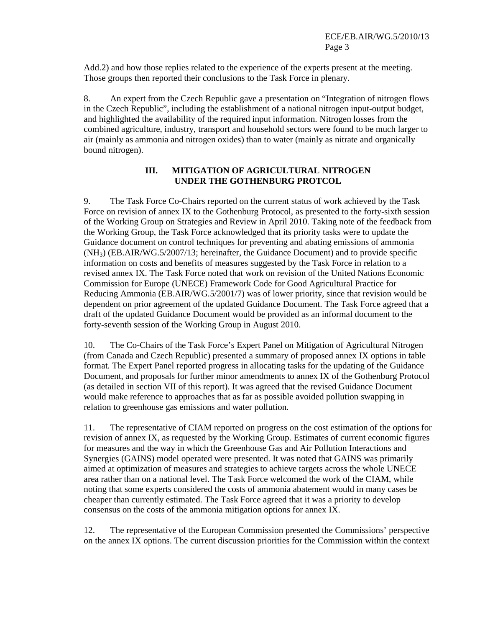Add.2) and how those replies related to the experience of the experts present at the meeting. Those groups then reported their conclusions to the Task Force in plenary.

8. An expert from the Czech Republic gave a presentation on "Integration of nitrogen flows in the Czech Republic", including the establishment of a national nitrogen input-output budget, and highlighted the availability of the required input information. Nitrogen losses from the combined agriculture, industry, transport and household sectors were found to be much larger to air (mainly as ammonia and nitrogen oxides) than to water (mainly as nitrate and organically bound nitrogen).

#### **III. MITIGATION OF AGRICULTURAL NITROGEN UNDER THE GOTHENBURG PROTCOL**

9. The Task Force Co-Chairs reported on the current status of work achieved by the Task Force on revision of annex IX to the Gothenburg Protocol, as presented to the forty-sixth session of the Working Group on Strategies and Review in April 2010. Taking note of the feedback from the Working Group, the Task Force acknowledged that its priority tasks were to update the Guidance document on control techniques for preventing and abating emissions of ammonia (NH3) (EB.AIR/WG.5/2007/13; hereinafter, the Guidance Document) and to provide specific information on costs and benefits of measures suggested by the Task Force in relation to a revised annex IX. The Task Force noted that work on revision of the United Nations Economic Commission for Europe (UNECE) Framework Code for Good Agricultural Practice for Reducing Ammonia (EB.AIR/WG.5/2001/7) was of lower priority, since that revision would be dependent on prior agreement of the updated Guidance Document. The Task Force agreed that a draft of the updated Guidance Document would be provided as an informal document to the forty-seventh session of the Working Group in August 2010.

10. The Co-Chairs of the Task Force's Expert Panel on Mitigation of Agricultural Nitrogen (from Canada and Czech Republic) presented a summary of proposed annex IX options in table format. The Expert Panel reported progress in allocating tasks for the updating of the Guidance Document, and proposals for further minor amendments to annex IX of the Gothenburg Protocol (as detailed in section VII of this report). It was agreed that the revised Guidance Document would make reference to approaches that as far as possible avoided pollution swapping in relation to greenhouse gas emissions and water pollution.

11. The representative of CIAM reported on progress on the cost estimation of the options for revision of annex IX, as requested by the Working Group. Estimates of current economic figures for measures and the way in which the Greenhouse Gas and Air Pollution Interactions and Synergies (GAINS) model operated were presented. It was noted that GAINS was primarily aimed at optimization of measures and strategies to achieve targets across the whole UNECE area rather than on a national level. The Task Force welcomed the work of the CIAM, while noting that some experts considered the costs of ammonia abatement would in many cases be cheaper than currently estimated. The Task Force agreed that it was a priority to develop consensus on the costs of the ammonia mitigation options for annex IX.

12. The representative of the European Commission presented the Commissions' perspective on the annex IX options. The current discussion priorities for the Commission within the context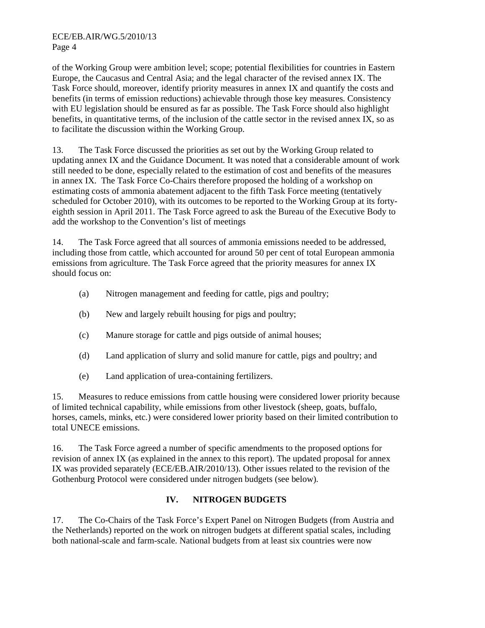of the Working Group were ambition level; scope; potential flexibilities for countries in Eastern Europe, the Caucasus and Central Asia; and the legal character of the revised annex IX. The Task Force should, moreover, identify priority measures in annex IX and quantify the costs and benefits (in terms of emission reductions) achievable through those key measures. Consistency with EU legislation should be ensured as far as possible. The Task Force should also highlight benefits, in quantitative terms, of the inclusion of the cattle sector in the revised annex IX, so as to facilitate the discussion within the Working Group.

13. The Task Force discussed the priorities as set out by the Working Group related to updating annex IX and the Guidance Document. It was noted that a considerable amount of work still needed to be done, especially related to the estimation of cost and benefits of the measures in annex IX. The Task Force Co-Chairs therefore proposed the holding of a workshop on estimating costs of ammonia abatement adjacent to the fifth Task Force meeting (tentatively scheduled for October 2010), with its outcomes to be reported to the Working Group at its fortyeighth session in April 2011. The Task Force agreed to ask the Bureau of the Executive Body to add the workshop to the Convention's list of meetings

14. The Task Force agreed that all sources of ammonia emissions needed to be addressed, including those from cattle, which accounted for around 50 per cent of total European ammonia emissions from agriculture. The Task Force agreed that the priority measures for annex IX should focus on:

- (a) Nitrogen management and feeding for cattle, pigs and poultry;
- (b) New and largely rebuilt housing for pigs and poultry;
- (c) Manure storage for cattle and pigs outside of animal houses;
- (d) Land application of slurry and solid manure for cattle, pigs and poultry; and
- (e) Land application of urea-containing fertilizers.

15. Measures to reduce emissions from cattle housing were considered lower priority because of limited technical capability, while emissions from other livestock (sheep, goats, buffalo, horses, camels, minks, etc.) were considered lower priority based on their limited contribution to total UNECE emissions.

16. The Task Force agreed a number of specific amendments to the proposed options for revision of annex IX (as explained in the annex to this report). The updated proposal for annex IX was provided separately (ECE/EB.AIR/2010/13). Other issues related to the revision of the Gothenburg Protocol were considered under nitrogen budgets (see below).

# **IV. NITROGEN BUDGETS**

17. The Co-Chairs of the Task Force's Expert Panel on Nitrogen Budgets (from Austria and the Netherlands) reported on the work on nitrogen budgets at different spatial scales, including both national-scale and farm-scale. National budgets from at least six countries were now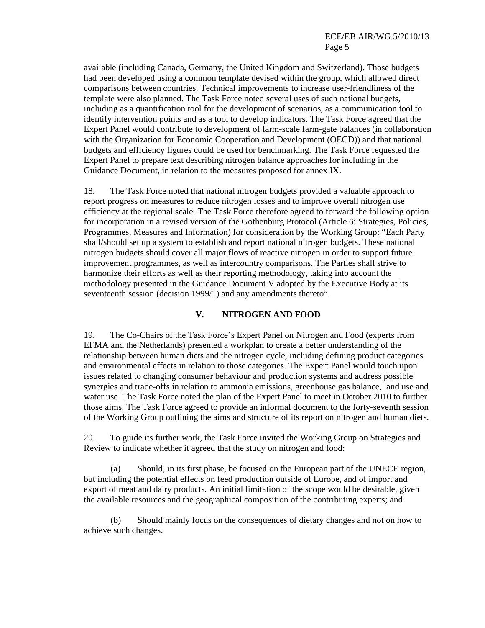available (including Canada, Germany, the United Kingdom and Switzerland). Those budgets had been developed using a common template devised within the group, which allowed direct comparisons between countries. Technical improvements to increase user-friendliness of the template were also planned. The Task Force noted several uses of such national budgets, including as a quantification tool for the development of scenarios, as a communication tool to identify intervention points and as a tool to develop indicators. The Task Force agreed that the Expert Panel would contribute to development of farm-scale farm-gate balances (in collaboration with the Organization for Economic Cooperation and Development (OECD)) and that national budgets and efficiency figures could be used for benchmarking. The Task Force requested the Expert Panel to prepare text describing nitrogen balance approaches for including in the Guidance Document, in relation to the measures proposed for annex IX.

18. The Task Force noted that national nitrogen budgets provided a valuable approach to report progress on measures to reduce nitrogen losses and to improve overall nitrogen use efficiency at the regional scale. The Task Force therefore agreed to forward the following option for incorporation in a revised version of the Gothenburg Protocol (Article 6: Strategies, Policies, Programmes, Measures and Information) for consideration by the Working Group: "Each Party shall/should set up a system to establish and report national nitrogen budgets. These national nitrogen budgets should cover all major flows of reactive nitrogen in order to support future improvement programmes, as well as intercountry comparisons. The Parties shall strive to harmonize their efforts as well as their reporting methodology, taking into account the methodology presented in the Guidance Document V adopted by the Executive Body at its seventeenth session (decision 1999/1) and any amendments thereto".

#### **V. NITROGEN AND FOOD**

19. The Co-Chairs of the Task Force's Expert Panel on Nitrogen and Food (experts from EFMA and the Netherlands) presented a workplan to create a better understanding of the relationship between human diets and the nitrogen cycle, including defining product categories and environmental effects in relation to those categories. The Expert Panel would touch upon issues related to changing consumer behaviour and production systems and address possible synergies and trade-offs in relation to ammonia emissions, greenhouse gas balance, land use and water use. The Task Force noted the plan of the Expert Panel to meet in October 2010 to further those aims. The Task Force agreed to provide an informal document to the forty-seventh session of the Working Group outlining the aims and structure of its report on nitrogen and human diets.

20. To guide its further work, the Task Force invited the Working Group on Strategies and Review to indicate whether it agreed that the study on nitrogen and food:

(a) Should, in its first phase, be focused on the European part of the UNECE region, but including the potential effects on feed production outside of Europe, and of import and export of meat and dairy products. An initial limitation of the scope would be desirable, given the available resources and the geographical composition of the contributing experts; and

(b) Should mainly focus on the consequences of dietary changes and not on how to achieve such changes.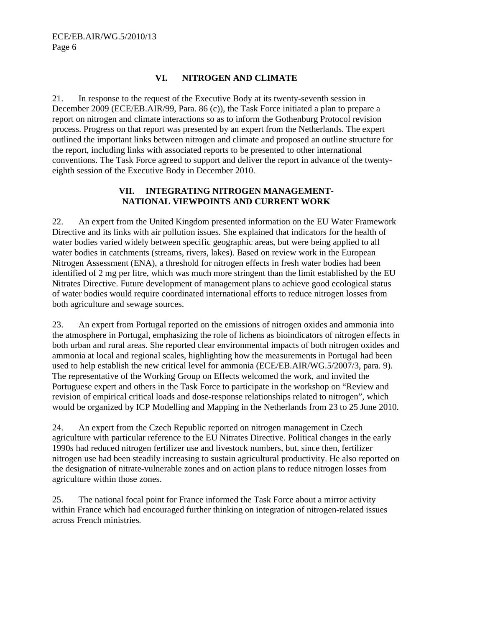## **VI. NITROGEN AND CLIMATE**

21. In response to the request of the Executive Body at its twenty-seventh session in December 2009 (ECE/EB.AIR/99, Para. 86 (c)), the Task Force initiated a plan to prepare a report on nitrogen and climate interactions so as to inform the Gothenburg Protocol revision process. Progress on that report was presented by an expert from the Netherlands. The expert outlined the important links between nitrogen and climate and proposed an outline structure for the report, including links with associated reports to be presented to other international conventions. The Task Force agreed to support and deliver the report in advance of the twentyeighth session of the Executive Body in December 2010.

#### **VII. INTEGRATING NITROGEN MANAGEMENT-NATIONAL VIEWPOINTS AND CURRENT WORK**

22. An expert from the United Kingdom presented information on the EU Water Framework Directive and its links with air pollution issues. She explained that indicators for the health of water bodies varied widely between specific geographic areas, but were being applied to all water bodies in catchments (streams, rivers, lakes). Based on review work in the European Nitrogen Assessment (ENA), a threshold for nitrogen effects in fresh water bodies had been identified of 2 mg per litre, which was much more stringent than the limit established by the EU Nitrates Directive. Future development of management plans to achieve good ecological status of water bodies would require coordinated international efforts to reduce nitrogen losses from both agriculture and sewage sources.

23. An expert from Portugal reported on the emissions of nitrogen oxides and ammonia into the atmosphere in Portugal, emphasizing the role of lichens as bioindicators of nitrogen effects in both urban and rural areas. She reported clear environmental impacts of both nitrogen oxides and ammonia at local and regional scales, highlighting how the measurements in Portugal had been used to help establish the new critical level for ammonia (ECE/EB.AIR/WG.5/2007/3, para. 9). The representative of the Working Group on Effects welcomed the work, and invited the Portuguese expert and others in the Task Force to participate in the workshop on "Review and revision of empirical critical loads and dose-response relationships related to nitrogen", which would be organized by ICP Modelling and Mapping in the Netherlands from 23 to 25 June 2010.

24. An expert from the Czech Republic reported on nitrogen management in Czech agriculture with particular reference to the EU Nitrates Directive. Political changes in the early 1990s had reduced nitrogen fertilizer use and livestock numbers, but, since then, fertilizer nitrogen use had been steadily increasing to sustain agricultural productivity. He also reported on the designation of nitrate-vulnerable zones and on action plans to reduce nitrogen losses from agriculture within those zones.

25. The national focal point for France informed the Task Force about a mirror activity within France which had encouraged further thinking on integration of nitrogen-related issues across French ministries.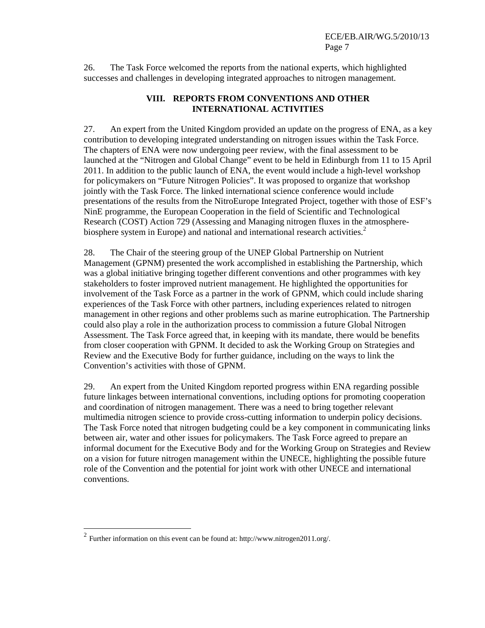26. The Task Force welcomed the reports from the national experts, which highlighted successes and challenges in developing integrated approaches to nitrogen management.

#### **VIII. REPORTS FROM CONVENTIONS AND OTHER INTERNATIONAL ACTIVITIES**

27. An expert from the United Kingdom provided an update on the progress of ENA, as a key contribution to developing integrated understanding on nitrogen issues within the Task Force. The chapters of ENA were now undergoing peer review, with the final assessment to be launched at the "Nitrogen and Global Change" event to be held in Edinburgh from 11 to 15 April 2011. In addition to the public launch of ENA, the event would include a high-level workshop for policymakers on "Future Nitrogen Policies". It was proposed to organize that workshop jointly with the Task Force. The linked international science conference would include presentations of the results from the NitroEurope Integrated Project, together with those of ESF's NinE programme, the European Cooperation in the field of Scientific and Technological Research (COST) Action 729 (Assessing and Managing nitrogen fluxes in the atmospherebiosphere system in Europe) and national and international research activities.<sup>2</sup>

28. The Chair of the steering group of the UNEP Global Partnership on Nutrient Management (GPNM) presented the work accomplished in establishing the Partnership, which was a global initiative bringing together different conventions and other programmes with key stakeholders to foster improved nutrient management. He highlighted the opportunities for involvement of the Task Force as a partner in the work of GPNM, which could include sharing experiences of the Task Force with other partners, including experiences related to nitrogen management in other regions and other problems such as marine eutrophication. The Partnership could also play a role in the authorization process to commission a future Global Nitrogen Assessment. The Task Force agreed that, in keeping with its mandate, there would be benefits from closer cooperation with GPNM. It decided to ask the Working Group on Strategies and Review and the Executive Body for further guidance, including on the ways to link the Convention's activities with those of GPNM.

29. An expert from the United Kingdom reported progress within ENA regarding possible future linkages between international conventions, including options for promoting cooperation and coordination of nitrogen management. There was a need to bring together relevant multimedia nitrogen science to provide cross-cutting information to underpin policy decisions. The Task Force noted that nitrogen budgeting could be a key component in communicating links between air, water and other issues for policymakers. The Task Force agreed to prepare an informal document for the Executive Body and for the Working Group on Strategies and Review on a vision for future nitrogen management within the UNECE, highlighting the possible future role of the Convention and the potential for joint work with other UNECE and international conventions.

 2 Further information on this event can be found at: http://www.nitrogen2011.org/.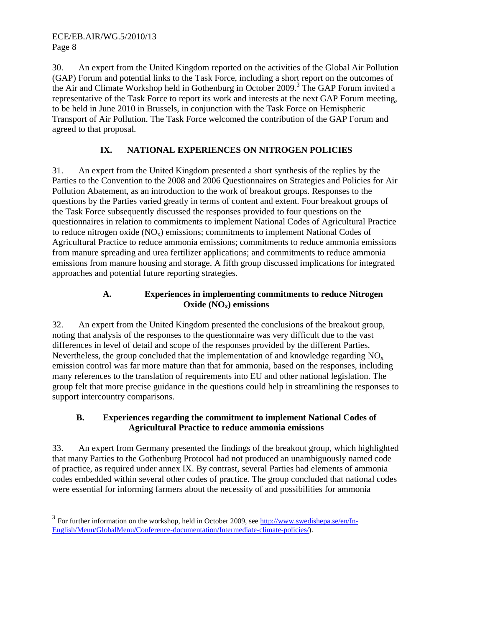-

30. An expert from the United Kingdom reported on the activities of the Global Air Pollution (GAP) Forum and potential links to the Task Force, including a short report on the outcomes of the Air and Climate Workshop held in Gothenburg in October 2009.<sup>3</sup> The GAP Forum invited a representative of the Task Force to report its work and interests at the next GAP Forum meeting, to be held in June 2010 in Brussels, in conjunction with the Task Force on Hemispheric Transport of Air Pollution. The Task Force welcomed the contribution of the GAP Forum and agreed to that proposal.

# **IX. NATIONAL EXPERIENCES ON NITROGEN POLICIES**

31. An expert from the United Kingdom presented a short synthesis of the replies by the Parties to the Convention to the 2008 and 2006 Questionnaires on Strategies and Policies for Air Pollution Abatement, as an introduction to the work of breakout groups. Responses to the questions by the Parties varied greatly in terms of content and extent. Four breakout groups of the Task Force subsequently discussed the responses provided to four questions on the questionnaires in relation to commitments to implement National Codes of Agricultural Practice to reduce nitrogen oxide  $(NO_x)$  emissions; commitments to implement National Codes of Agricultural Practice to reduce ammonia emissions; commitments to reduce ammonia emissions from manure spreading and urea fertilizer applications; and commitments to reduce ammonia emissions from manure housing and storage. A fifth group discussed implications for integrated approaches and potential future reporting strategies.

## **A. Experiences in implementing commitments to reduce Nitrogen Oxide (NOx) emissions**

32. An expert from the United Kingdom presented the conclusions of the breakout group, noting that analysis of the responses to the questionnaire was very difficult due to the vast differences in level of detail and scope of the responses provided by the different Parties. Nevertheless, the group concluded that the implementation of and knowledge regarding  $NO<sub>x</sub>$ emission control was far more mature than that for ammonia, based on the responses, including many references to the translation of requirements into EU and other national legislation. The group felt that more precise guidance in the questions could help in streamlining the responses to support intercountry comparisons.

# **B. Experiences regarding the commitment to implement National Codes of Agricultural Practice to reduce ammonia emissions**

33. An expert from Germany presented the findings of the breakout group, which highlighted that many Parties to the Gothenburg Protocol had not produced an unambiguously named code of practice, as required under annex IX. By contrast, several Parties had elements of ammonia codes embedded within several other codes of practice. The group concluded that national codes were essential for informing farmers about the necessity of and possibilities for ammonia

 $3$  For further information on the workshop, held in October 2009, see  $\frac{http://www.swedishepa.se/en/In-10000}{http://www.swedishepa.se/en/In-10000}$ English/Menu/GlobalMenu/Conference-documentation/Intermediate-climate-policies/).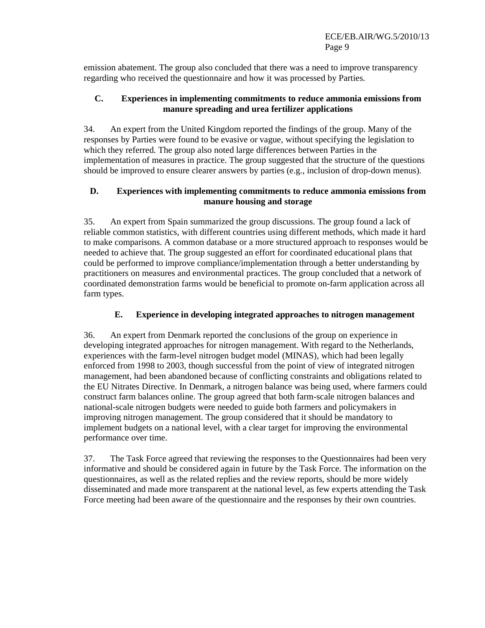emission abatement. The group also concluded that there was a need to improve transparency regarding who received the questionnaire and how it was processed by Parties.

#### **C. Experiences in implementing commitments to reduce ammonia emissions from manure spreading and urea fertilizer applications**

34. An expert from the United Kingdom reported the findings of the group. Many of the responses by Parties were found to be evasive or vague, without specifying the legislation to which they referred. The group also noted large differences between Parties in the implementation of measures in practice. The group suggested that the structure of the questions should be improved to ensure clearer answers by parties (e.g., inclusion of drop-down menus).

#### **D. Experiences with implementing commitments to reduce ammonia emissions from manure housing and storage**

35. An expert from Spain summarized the group discussions. The group found a lack of reliable common statistics, with different countries using different methods, which made it hard to make comparisons. A common database or a more structured approach to responses would be needed to achieve that. The group suggested an effort for coordinated educational plans that could be performed to improve compliance/implementation through a better understanding by practitioners on measures and environmental practices. The group concluded that a network of coordinated demonstration farms would be beneficial to promote on-farm application across all farm types.

## **E. Experience in developing integrated approaches to nitrogen management**

36. An expert from Denmark reported the conclusions of the group on experience in developing integrated approaches for nitrogen management. With regard to the Netherlands, experiences with the farm-level nitrogen budget model (MINAS), which had been legally enforced from 1998 to 2003, though successful from the point of view of integrated nitrogen management, had been abandoned because of conflicting constraints and obligations related to the EU Nitrates Directive. In Denmark, a nitrogen balance was being used, where farmers could construct farm balances online. The group agreed that both farm-scale nitrogen balances and national-scale nitrogen budgets were needed to guide both farmers and policymakers in improving nitrogen management. The group considered that it should be mandatory to implement budgets on a national level, with a clear target for improving the environmental performance over time.

37. The Task Force agreed that reviewing the responses to the Questionnaires had been very informative and should be considered again in future by the Task Force. The information on the questionnaires, as well as the related replies and the review reports, should be more widely disseminated and made more transparent at the national level, as few experts attending the Task Force meeting had been aware of the questionnaire and the responses by their own countries.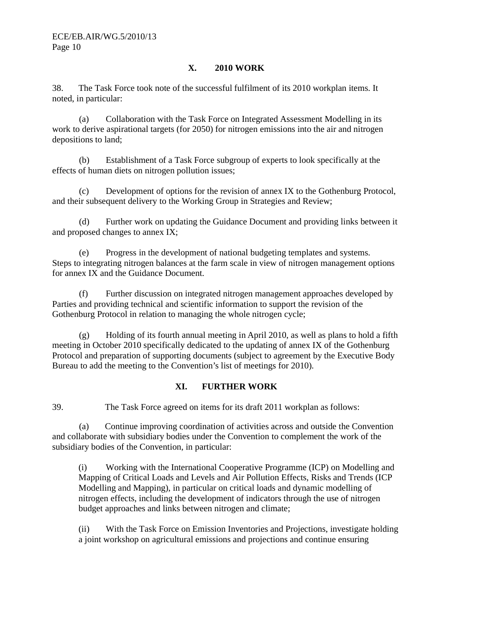## **X. 2010 WORK**

38. The Task Force took note of the successful fulfilment of its 2010 workplan items. It noted, in particular:

 (a) Collaboration with the Task Force on Integrated Assessment Modelling in its work to derive aspirational targets (for 2050) for nitrogen emissions into the air and nitrogen depositions to land;

(b) Establishment of a Task Force subgroup of experts to look specifically at the effects of human diets on nitrogen pollution issues;

(c) Development of options for the revision of annex IX to the Gothenburg Protocol, and their subsequent delivery to the Working Group in Strategies and Review;

(d) Further work on updating the Guidance Document and providing links between it and proposed changes to annex IX;

(e) Progress in the development of national budgeting templates and systems. Steps to integrating nitrogen balances at the farm scale in view of nitrogen management options for annex IX and the Guidance Document.

(f) Further discussion on integrated nitrogen management approaches developed by Parties and providing technical and scientific information to support the revision of the Gothenburg Protocol in relation to managing the whole nitrogen cycle;

(g) Holding of its fourth annual meeting in April 2010, as well as plans to hold a fifth meeting in October 2010 specifically dedicated to the updating of annex IX of the Gothenburg Protocol and preparation of supporting documents (subject to agreement by the Executive Body Bureau to add the meeting to the Convention's list of meetings for 2010).

#### **XI. FURTHER WORK**

39. The Task Force agreed on items for its draft 2011 workplan as follows:

(a) Continue improving coordination of activities across and outside the Convention and collaborate with subsidiary bodies under the Convention to complement the work of the subsidiary bodies of the Convention, in particular:

(i) Working with the International Cooperative Programme (ICP) on Modelling and Mapping of Critical Loads and Levels and Air Pollution Effects, Risks and Trends (ICP Modelling and Mapping), in particular on critical loads and dynamic modelling of nitrogen effects, including the development of indicators through the use of nitrogen budget approaches and links between nitrogen and climate;

(ii) With the Task Force on Emission Inventories and Projections, investigate holding a joint workshop on agricultural emissions and projections and continue ensuring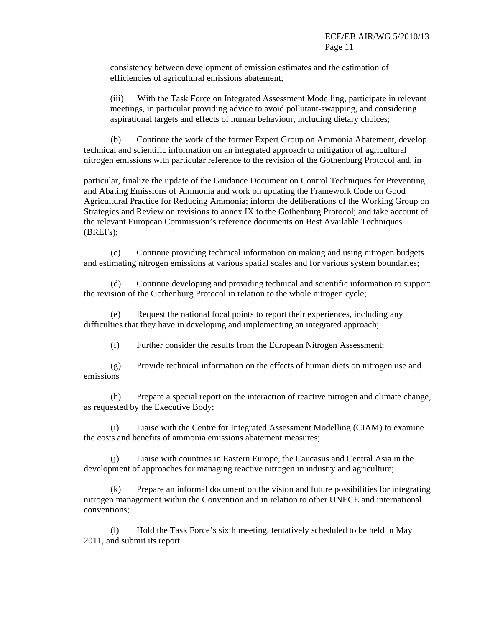consistency between development of emission estimates and the estimation of efficiencies of agricultural emissions abatement;

(iii) With the Task Force on Integrated Assessment Modelling, participate in relevant meetings, in particular providing advice to avoid pollutant-swapping, and considering aspirational targets and effects of human behaviour, including dietary choices;

(b) Continue the work of the former Expert Group on Ammonia Abatement, develop technical and scientific information on an integrated approach to mitigation of agricultural nitrogen emissions with particular reference to the revision of the Gothenburg Protocol and, in

particular, finalize the update of the Guidance Document on Control Techniques for Preventing and Abating Emissions of Ammonia and work on updating the Framework Code on Good Agricultural Practice for Reducing Ammonia; inform the deliberations of the Working Group on Strategies and Review on revisions to annex IX to the Gothenburg Protocol; and take account of the relevant European Commission's reference documents on Best Available Techniques (BREFs);

(c) Continue providing technical information on making and using nitrogen budgets and estimating nitrogen emissions at various spatial scales and for various system boundaries;

(d) Continue developing and providing technical and scientific information to support the revision of the Gothenburg Protocol in relation to the whole nitrogen cycle;

(e) Request the national focal points to report their experiences, including any difficulties that they have in developing and implementing an integrated approach;

(f) Further consider the results from the European Nitrogen Assessment;

(g) Provide technical information on the effects of human diets on nitrogen use and emissions

(h) Prepare a special report on the interaction of reactive nitrogen and climate change, as requested by the Executive Body;

(i) Liaise with the Centre for Integrated Assessment Modelling (CIAM) to examine the costs and benefits of ammonia emissions abatement measures;

(j) Liaise with countries in Eastern Europe, the Caucasus and Central Asia in the development of approaches for managing reactive nitrogen in industry and agriculture;

(k) Prepare an informal document on the vision and future possibilities for integrating nitrogen management within the Convention and in relation to other UNECE and international conventions;

(l) Hold the Task Force's sixth meeting, tentatively scheduled to be held in May 2011, and submit its report.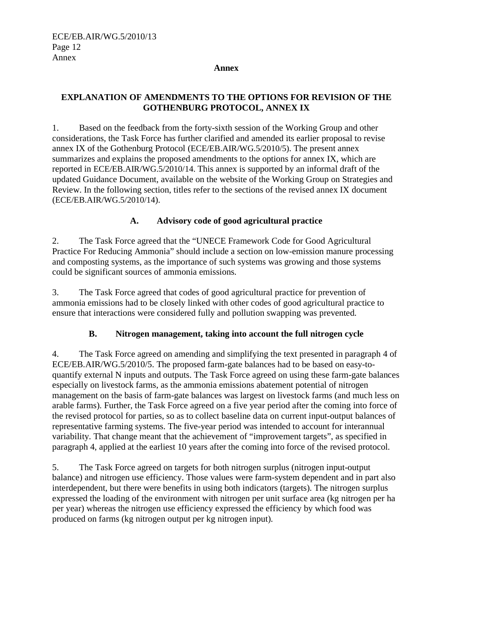#### **Annex**

#### **EXPLANATION OF AMENDMENTS TO THE OPTIONS FOR REVISION OF THE GOTHENBURG PROTOCOL, ANNEX IX**

1. Based on the feedback from the forty-sixth session of the Working Group and other considerations, the Task Force has further clarified and amended its earlier proposal to revise annex IX of the Gothenburg Protocol (ECE/EB.AIR/WG.5/2010/5). The present annex summarizes and explains the proposed amendments to the options for annex IX, which are reported in ECE/EB.AIR/WG.5/2010/14. This annex is supported by an informal draft of the updated Guidance Document, available on the website of the Working Group on Strategies and Review. In the following section, titles refer to the sections of the revised annex IX document (ECE/EB.AIR/WG.5/2010/14).

#### **A. Advisory code of good agricultural practice**

2. The Task Force agreed that the "UNECE Framework Code for Good Agricultural Practice For Reducing Ammonia" should include a section on low-emission manure processing and composting systems, as the importance of such systems was growing and those systems could be significant sources of ammonia emissions.

3. The Task Force agreed that codes of good agricultural practice for prevention of ammonia emissions had to be closely linked with other codes of good agricultural practice to ensure that interactions were considered fully and pollution swapping was prevented.

#### **B. Nitrogen management, taking into account the full nitrogen cycle**

4. The Task Force agreed on amending and simplifying the text presented in paragraph 4 of ECE/EB.AIR/WG.5/2010/5. The proposed farm-gate balances had to be based on easy-toquantify external N inputs and outputs. The Task Force agreed on using these farm-gate balances especially on livestock farms, as the ammonia emissions abatement potential of nitrogen management on the basis of farm-gate balances was largest on livestock farms (and much less on arable farms). Further, the Task Force agreed on a five year period after the coming into force of the revised protocol for parties, so as to collect baseline data on current input-output balances of representative farming systems. The five-year period was intended to account for interannual variability. That change meant that the achievement of "improvement targets", as specified in paragraph 4, applied at the earliest 10 years after the coming into force of the revised protocol.

5. The Task Force agreed on targets for both nitrogen surplus (nitrogen input-output balance) and nitrogen use efficiency. Those values were farm-system dependent and in part also interdependent, but there were benefits in using both indicators (targets). The nitrogen surplus expressed the loading of the environment with nitrogen per unit surface area (kg nitrogen per ha per year) whereas the nitrogen use efficiency expressed the efficiency by which food was produced on farms (kg nitrogen output per kg nitrogen input).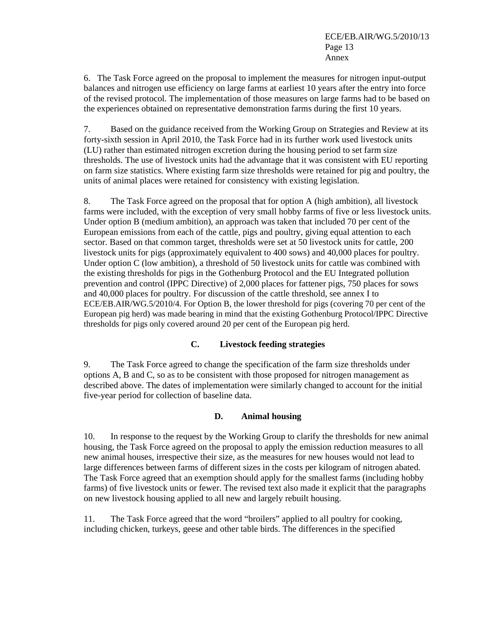6. The Task Force agreed on the proposal to implement the measures for nitrogen input-output balances and nitrogen use efficiency on large farms at earliest 10 years after the entry into force of the revised protocol. The implementation of those measures on large farms had to be based on the experiences obtained on representative demonstration farms during the first 10 years.

7. Based on the guidance received from the Working Group on Strategies and Review at its forty-sixth session in April 2010, the Task Force had in its further work used livestock units (LU) rather than estimated nitrogen excretion during the housing period to set farm size thresholds. The use of livestock units had the advantage that it was consistent with EU reporting on farm size statistics. Where existing farm size thresholds were retained for pig and poultry, the units of animal places were retained for consistency with existing legislation.

8. The Task Force agreed on the proposal that for option A (high ambition), all livestock farms were included, with the exception of very small hobby farms of five or less livestock units. Under option B (medium ambition), an approach was taken that included 70 per cent of the European emissions from each of the cattle, pigs and poultry, giving equal attention to each sector. Based on that common target, thresholds were set at 50 livestock units for cattle, 200 livestock units for pigs (approximately equivalent to 400 sows) and 40,000 places for poultry. Under option C (low ambition), a threshold of 50 livestock units for cattle was combined with the existing thresholds for pigs in the Gothenburg Protocol and the EU Integrated pollution prevention and control (IPPC Directive) of 2,000 places for fattener pigs, 750 places for sows and 40,000 places for poultry. For discussion of the cattle threshold, see annex I to ECE/EB.AIR/WG.5/2010/4. For Option B, the lower threshold for pigs (covering 70 per cent of the European pig herd) was made bearing in mind that the existing Gothenburg Protocol/IPPC Directive thresholds for pigs only covered around 20 per cent of the European pig herd.

#### **C. Livestock feeding strategies**

9. The Task Force agreed to change the specification of the farm size thresholds under options A, B and C, so as to be consistent with those proposed for nitrogen management as described above. The dates of implementation were similarly changed to account for the initial five-year period for collection of baseline data.

#### **D. Animal housing**

10. In response to the request by the Working Group to clarify the thresholds for new animal housing, the Task Force agreed on the proposal to apply the emission reduction measures to all new animal houses, irrespective their size, as the measures for new houses would not lead to large differences between farms of different sizes in the costs per kilogram of nitrogen abated. The Task Force agreed that an exemption should apply for the smallest farms (including hobby farms) of five livestock units or fewer. The revised text also made it explicit that the paragraphs on new livestock housing applied to all new and largely rebuilt housing.

11. The Task Force agreed that the word "broilers" applied to all poultry for cooking, including chicken, turkeys, geese and other table birds. The differences in the specified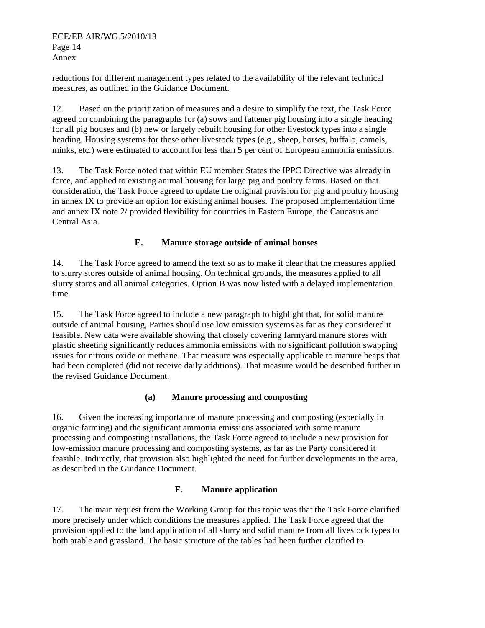reductions for different management types related to the availability of the relevant technical measures, as outlined in the Guidance Document.

12. Based on the prioritization of measures and a desire to simplify the text, the Task Force agreed on combining the paragraphs for (a) sows and fattener pig housing into a single heading for all pig houses and (b) new or largely rebuilt housing for other livestock types into a single heading. Housing systems for these other livestock types (e.g., sheep, horses, buffalo, camels, minks, etc.) were estimated to account for less than 5 per cent of European ammonia emissions.

13. The Task Force noted that within EU member States the IPPC Directive was already in force, and applied to existing animal housing for large pig and poultry farms. Based on that consideration, the Task Force agreed to update the original provision for pig and poultry housing in annex IX to provide an option for existing animal houses. The proposed implementation time and annex IX note 2/ provided flexibility for countries in Eastern Europe, the Caucasus and Central Asia.

#### **E. Manure storage outside of animal houses**

14. The Task Force agreed to amend the text so as to make it clear that the measures applied to slurry stores outside of animal housing. On technical grounds, the measures applied to all slurry stores and all animal categories. Option B was now listed with a delayed implementation time.

15. The Task Force agreed to include a new paragraph to highlight that, for solid manure outside of animal housing, Parties should use low emission systems as far as they considered it feasible. New data were available showing that closely covering farmyard manure stores with plastic sheeting significantly reduces ammonia emissions with no significant pollution swapping issues for nitrous oxide or methane. That measure was especially applicable to manure heaps that had been completed (did not receive daily additions). That measure would be described further in the revised Guidance Document.

#### **(a) Manure processing and composting**

16. Given the increasing importance of manure processing and composting (especially in organic farming) and the significant ammonia emissions associated with some manure processing and composting installations, the Task Force agreed to include a new provision for low-emission manure processing and composting systems, as far as the Party considered it feasible. Indirectly, that provision also highlighted the need for further developments in the area, as described in the Guidance Document.

# **F. Manure application**

17. The main request from the Working Group for this topic was that the Task Force clarified more precisely under which conditions the measures applied. The Task Force agreed that the provision applied to the land application of all slurry and solid manure from all livestock types to both arable and grassland. The basic structure of the tables had been further clarified to